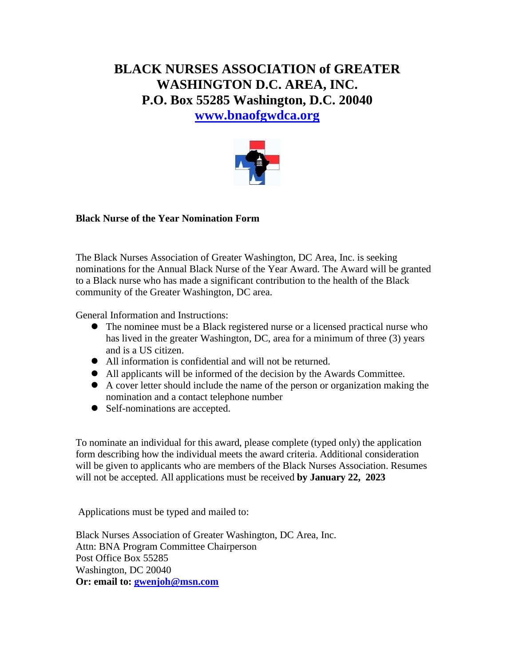# **BLACK NURSES ASSOCIATION of GREATER WASHINGTON D.C. AREA, INC. P.O. Box 55285 Washington, D.C. 20040 [www.bnaofgwdca.org](http://www.bnaofgwdca.org/)**



## **Black Nurse of the Year Nomination Form**

The Black Nurses Association of Greater Washington, DC Area, Inc. is seeking nominations for the Annual Black Nurse of the Year Award. The Award will be granted to a Black nurse who has made a significant contribution to the health of the Black community of the Greater Washington, DC area.

General Information and Instructions:

- ⚫ The nominee must be a Black registered nurse or a licensed practical nurse who has lived in the greater Washington, DC, area for a minimum of three (3) years and is a US citizen.
- ⚫ All information is confidential and will not be returned.
- ⚫ All applicants will be informed of the decision by the Awards Committee.
- ⚫ A cover letter should include the name of the person or organization making the nomination and a contact telephone number
- Self-nominations are accepted.

To nominate an individual for this award, please complete (typed only) the application form describing how the individual meets the award criteria. Additional consideration will be given to applicants who are members of the Black Nurses Association. Resumes will not be accepted. All applications must be received **by January 22, 2023**

Applications must be typed and mailed to:

Black Nurses Association of Greater Washington, DC Area, Inc. Attn: BNA Program Committee Chairperson Post Office Box 55285 Washington, DC 20040 **Or: email to: [gwenjoh@msn.com](mailto:gwenjoh@msn.com)**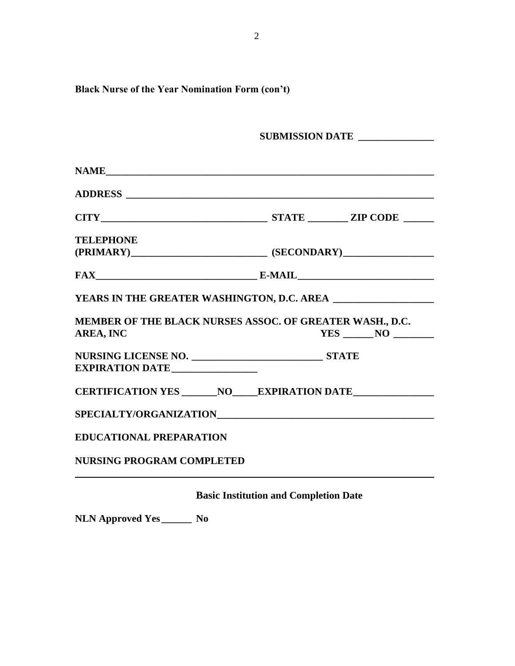|                                | SUBMISSION DATE                                                                                                                                                                                                                                                                                                                                                                                                                                                             |
|--------------------------------|-----------------------------------------------------------------------------------------------------------------------------------------------------------------------------------------------------------------------------------------------------------------------------------------------------------------------------------------------------------------------------------------------------------------------------------------------------------------------------|
|                                | NAME                                                                                                                                                                                                                                                                                                                                                                                                                                                                        |
|                                |                                                                                                                                                                                                                                                                                                                                                                                                                                                                             |
|                                |                                                                                                                                                                                                                                                                                                                                                                                                                                                                             |
| <b>TELEPHONE</b>               |                                                                                                                                                                                                                                                                                                                                                                                                                                                                             |
|                                |                                                                                                                                                                                                                                                                                                                                                                                                                                                                             |
|                                |                                                                                                                                                                                                                                                                                                                                                                                                                                                                             |
|                                | $\textbf{FAX} \qquad \qquad \textbf{E-MAIL} \qquad \qquad \textbf{E-MAIL} \qquad \qquad \textbf{MAL} \qquad \qquad \textbf{MIL} \qquad \qquad \textbf{MIL} \qquad \qquad \textbf{MIL} \qquad \qquad \textbf{MIL} \qquad \qquad \textbf{MIL} \qquad \qquad \textbf{MIL} \qquad \qquad \textbf{MIL} \qquad \qquad \textbf{MIL} \qquad \qquad \textbf{MIL} \qquad \qquad \textbf{MIL} \qquad \qquad \textbf{MIL} \qquad \qquad \textbf{MIL} \qquad \qquad \textbf{MIL} \qquad$ |
|                                | YEARS IN THE GREATER WASHINGTON, D.C. AREA                                                                                                                                                                                                                                                                                                                                                                                                                                  |
|                                |                                                                                                                                                                                                                                                                                                                                                                                                                                                                             |
| AREA, INC                      | MEMBER OF THE BLACK NURSES ASSOC. OF GREATER WASH., D.C.                                                                                                                                                                                                                                                                                                                                                                                                                    |
|                                |                                                                                                                                                                                                                                                                                                                                                                                                                                                                             |
| EXPIRATION DATE                |                                                                                                                                                                                                                                                                                                                                                                                                                                                                             |
|                                |                                                                                                                                                                                                                                                                                                                                                                                                                                                                             |
|                                | CERTIFICATION YES ________ NO_____EXPIRATION DATE __________________<br>SPECIALTY/ORGANIZATIONNALLED AND RELEASED AT A SERIES AND RELEASED ASSESSED.                                                                                                                                                                                                                                                                                                                        |
| <b>EDUCATIONAL PREPARATION</b> |                                                                                                                                                                                                                                                                                                                                                                                                                                                                             |

**Basic Institution and Completion Date**

**NLN Approved Yes \_\_\_\_\_\_ No**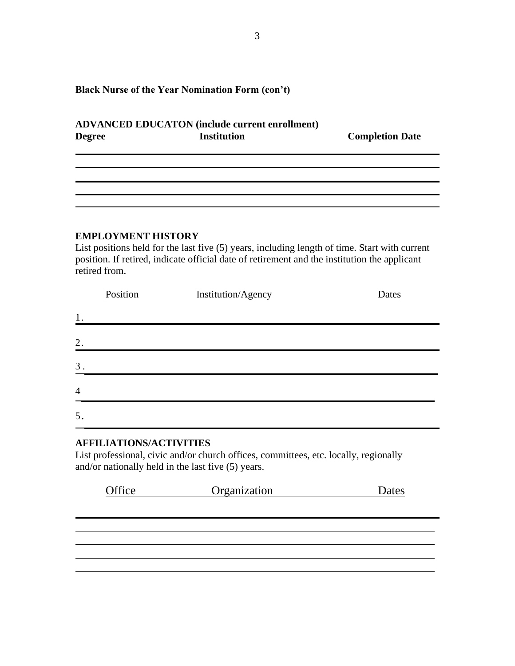## **ADVANCED EDUCATON (include current enrollment) Degree Institution Completion Date**

## **EMPLOYMENT HISTORY**

List positions held for the last five (5) years, including length of time. Start with current position. If retired, indicate official date of retirement and the institution the applicant retired from.

|                | Position | Institution/Agency | Dates |
|----------------|----------|--------------------|-------|
| 1.             |          |                    |       |
| 2.             |          |                    |       |
| 3.             |          |                    |       |
| $\overline{4}$ |          |                    |       |
| 5.             |          |                    |       |

## **AFFILIATIONS/ACTIVITIES**

List professional, civic and/or church offices, committees, etc. locally, regionally and/or nationally held in the last five (5) years.

| Office | Organization | Dates |
|--------|--------------|-------|
|        |              |       |
|        |              |       |
|        |              |       |
|        |              |       |
|        |              |       |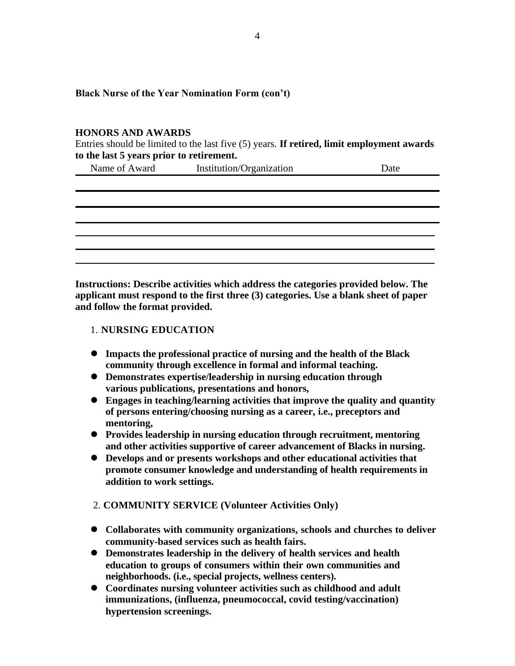#### **HONORS AND AWARDS**

Entries should be limited to the last five (5) years. **If retired, limit employment awards to the last 5 years prior to retirement.**

| Name of Award | Institution/Organization | Date |
|---------------|--------------------------|------|
|               |                          |      |
|               |                          |      |

**Instructions: Describe activities which address the categories provided below. The applicant must respond to the first three (3) categories. Use a blank sheet of paper and follow the format provided.**

## 1. **NURSING EDUCATION**

- ⚫ **Impacts the professional practice of nursing and the health of the Black community through excellence in formal and informal teaching.**
- ⚫ **Demonstrates expertise/leadership in nursing education through various publications, presentations and honors,**
- ⚫ **Engages in teaching/learning activities that improve the quality and quantity of persons entering/choosing nursing as a career, i.e., preceptors and mentoring,**
- ⚫ **Provides leadership in nursing education through recruitment, mentoring and other activities supportive of career advancement of Blacks in nursing.**
- ⚫ **Develops and or presents workshops and other educational activities that promote consumer knowledge and understanding of health requirements in addition to work settings.**
- 2. **COMMUNITY SERVICE (Volunteer Activities Only)**
- ⚫ **Collaborates with community organizations, schools and churches to deliver community-based services such as health fairs.**
- ⚫ **Demonstrates leadership in the delivery of health services and health education to groups of consumers within their own communities and neighborhoods. (i.e., special projects, wellness centers).**
- ⚫ **Coordinates nursing volunteer activities such as childhood and adult immunizations, (influenza, pneumococcal, covid testing/vaccination) hypertension screenings.**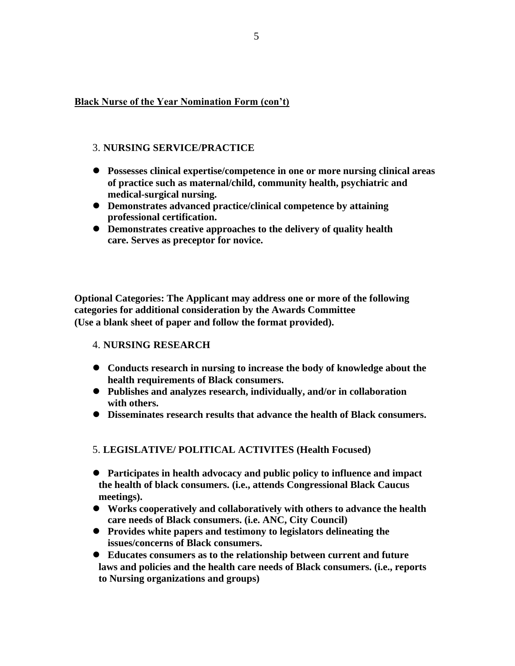## 3. **NURSING SERVICE/PRACTICE**

- ⚫ **Possesses clinical expertise/competence in one or more nursing clinical areas of practice such as maternal/child, community health, psychiatric and medical-surgical nursing.**
- ⚫ **Demonstrates advanced practice/clinical competence by attaining professional certification.**
- ⚫ **Demonstrates creative approaches to the delivery of quality health care. Serves as preceptor for novice.**

**Optional Categories: The Applicant may address one or more of the following categories for additional consideration by the Awards Committee (Use a blank sheet of paper and follow the format provided).**

#### 4. **NURSING RESEARCH**

- ⚫ **Conducts research in nursing to increase the body of knowledge about the health requirements of Black consumers.**
- ⚫ **Publishes and analyzes research, individually, and/or in collaboration with others.**
- ⚫ **Disseminates research results that advance the health of Black consumers.**

#### 5. **LEGISLATIVE/ POLITICAL ACTIVITES (Health Focused)**

- ⚫ **Participates in health advocacy and public policy to influence and impact the health of black consumers. (i.e., attends Congressional Black Caucus meetings).**
- ⚫ **Works cooperatively and collaboratively with others to advance the health care needs of Black consumers. (i.e. ANC, City Council)**
- ⚫ **Provides white papers and testimony to legislators delineating the issues/concerns of Black consumers.**
- ⚫ **Educates consumers as to the relationship between current and future laws and policies and the health care needs of Black consumers. (i.e., reports to Nursing organizations and groups)**